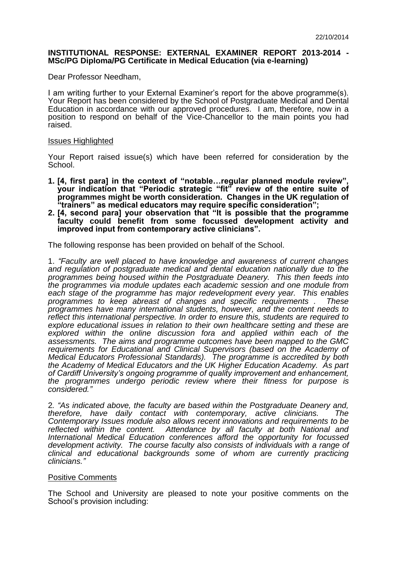## **INSTITUTIONAL RESPONSE: EXTERNAL EXAMINER REPORT 2013-2014 - MSc/PG Diploma/PG Certificate in Medical Education (via e-learning)**

Dear Professor Needham,

I am writing further to your External Examiner's report for the above programme(s). Your Report has been considered by the School of Postgraduate Medical and Dental Education in accordance with our approved procedures. I am, therefore, now in a position to respond on behalf of the Vice-Chancellor to the main points you had raised.

## Issues Highlighted

Your Report raised issue(s) which have been referred for consideration by the School.

- **1. [4, first para] in the context of "notable…regular planned module review", your indication that "Periodic strategic "fit" review of the entire suite of programmes might be worth consideration. Changes in the UK regulation of "trainers" as medical educators may require specific consideration";**
- **2. [4, second para] your observation that "It is possible that the programme faculty could benefit from some focussed development activity and improved input from contemporary active clinicians".**

The following response has been provided on behalf of the School.

1. *"Faculty are well placed to have knowledge and awareness of current changes and regulation of postgraduate medical and dental education nationally due to the programmes being housed within the Postgraduate Deanery. This then feeds into the programmes via module updates each academic session and one module from each stage of the programme has major redevelopment every year. This enables programmes to keep abreast of changes and specific requirements . These programmes have many international students, however, and the content needs to reflect this international perspective. In order to ensure this, students are required to explore educational issues in relation to their own healthcare setting and these are explored within the online discussion fora and applied within each of the assessments. The aims and programme outcomes have been mapped to the GMC*  requirements for Educational and Clinical Supervisors (based on the Academy of *Medical Educators Professional Standards). The programme is accredited by both the Academy of Medical Educators and the UK Higher Education Academy. As part of Cardiff University's ongoing programme of quality improvement and enhancement, the programmes undergo periodic review where their fitness for purpose is considered."*

2*. "As indicated above, the faculty are based within the Postgraduate Deanery and, therefore, have daily contact with contemporary, active clinicians. The Contemporary Issues module also allows recent innovations and requirements to be*  Attendance by all faculty at both National and *International Medical Education conferences afford the opportunity for focussed development activity. The course faculty also consists of individuals with a range of clinical and educational backgrounds some of whom are currently practicing clinicians."*

## Positive Comments

The School and University are pleased to note your positive comments on the School's provision including: